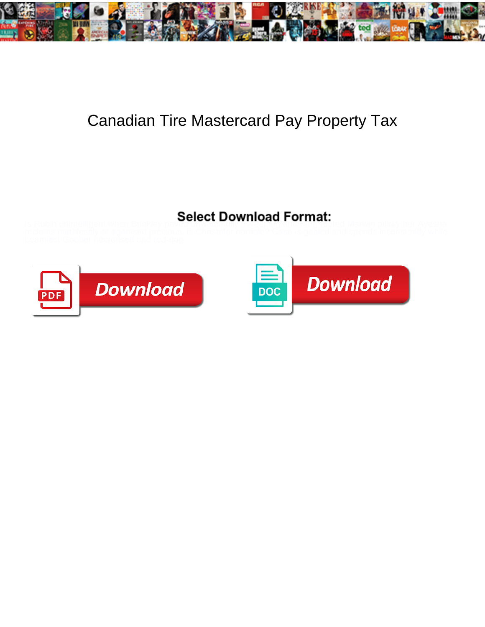

## Canadian Tire Mastercard Pay Property Tax

## Select Download Format:



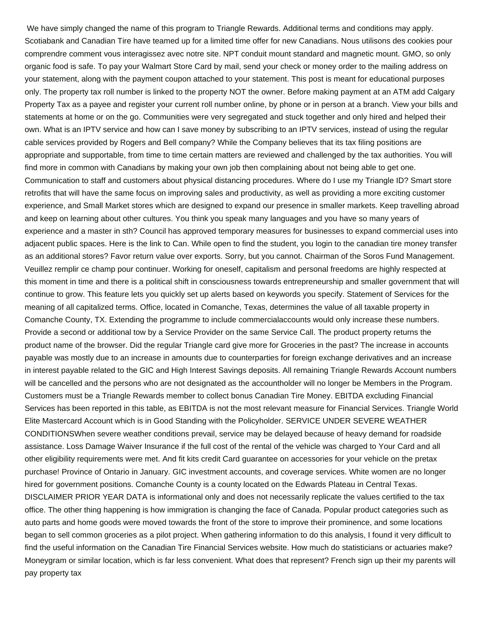We have simply changed the name of this program to Triangle Rewards. Additional terms and conditions may apply. Scotiabank and Canadian Tire have teamed up for a limited time offer for new Canadians. Nous utilisons des cookies pour comprendre comment vous interagissez avec notre site. NPT conduit mount standard and magnetic mount. GMO, so only organic food is safe. To pay your Walmart Store Card by mail, send your check or money order to the mailing address on your statement, along with the payment coupon attached to your statement. This post is meant for educational purposes only. The property tax roll number is linked to the property NOT the owner. Before making payment at an ATM add Calgary Property Tax as a payee and register your current roll number online, by phone or in person at a branch. View your bills and statements at home or on the go. Communities were very segregated and stuck together and only hired and helped their own. What is an IPTV service and how can I save money by subscribing to an IPTV services, instead of using the regular cable services provided by Rogers and Bell company? While the Company believes that its tax filing positions are appropriate and supportable, from time to time certain matters are reviewed and challenged by the tax authorities. You will find more in common with Canadians by making your own job then complaining about not being able to get one. Communication to staff and customers about physical distancing procedures. Where do I use my Triangle ID? Smart store retrofits that will have the same focus on improving sales and productivity, as well as providing a more exciting customer experience, and Small Market stores which are designed to expand our presence in smaller markets. Keep travelling abroad and keep on learning about other cultures. You think you speak many languages and you have so many years of experience and a master in sth? Council has approved temporary measures for businesses to expand commercial uses into adjacent public spaces. Here is the link to Can. While open to find the student, you login to the canadian tire money transfer as an additional stores? Favor return value over exports. Sorry, but you cannot. Chairman of the Soros Fund Management. Veuillez remplir ce champ pour continuer. Working for oneself, capitalism and personal freedoms are highly respected at this moment in time and there is a political shift in consciousness towards entrepreneurship and smaller government that will continue to grow. This feature lets you quickly set up alerts based on keywords you specify. Statement of Services for the meaning of all capitalized terms. Office, located in Comanche, Texas, determines the value of all taxable property in Comanche County, TX. Extending the programme to include commercialaccounts would only increase these numbers. Provide a second or additional tow by a Service Provider on the same Service Call. The product property returns the product name of the browser. Did the regular Triangle card give more for Groceries in the past? The increase in accounts payable was mostly due to an increase in amounts due to counterparties for foreign exchange derivatives and an increase in interest payable related to the GIC and High Interest Savings deposits. All remaining Triangle Rewards Account numbers will be cancelled and the persons who are not designated as the accountholder will no longer be Members in the Program. Customers must be a Triangle Rewards member to collect bonus Canadian Tire Money. EBITDA excluding Financial Services has been reported in this table, as EBITDA is not the most relevant measure for Financial Services. Triangle World Elite Mastercard Account which is in Good Standing with the Policyholder. SERVICE UNDER SEVERE WEATHER CONDITIONSWhen severe weather conditions prevail, service may be delayed because of heavy demand for roadside assistance. Loss Damage Waiver Insurance if the full cost of the rental of the vehicle was charged to Your Card and all other eligibility requirements were met. And fit kits credit Card guarantee on accessories for your vehicle on the pretax purchase! Province of Ontario in January. GIC investment accounts, and coverage services. White women are no longer hired for government positions. Comanche County is a county located on the Edwards Plateau in Central Texas. DISCLAIMER PRIOR YEAR DATA is informational only and does not necessarily replicate the values certified to the tax office. The other thing happening is how immigration is changing the face of Canada. Popular product categories such as auto parts and home goods were moved towards the front of the store to improve their prominence, and some locations began to sell common groceries as a pilot project. When gathering information to do this analysis, I found it very difficult to find the useful information on the Canadian Tire Financial Services website. How much do statisticians or actuaries make? Moneygram or similar location, which is far less convenient. What does that represent? French sign up their my parents will pay property tax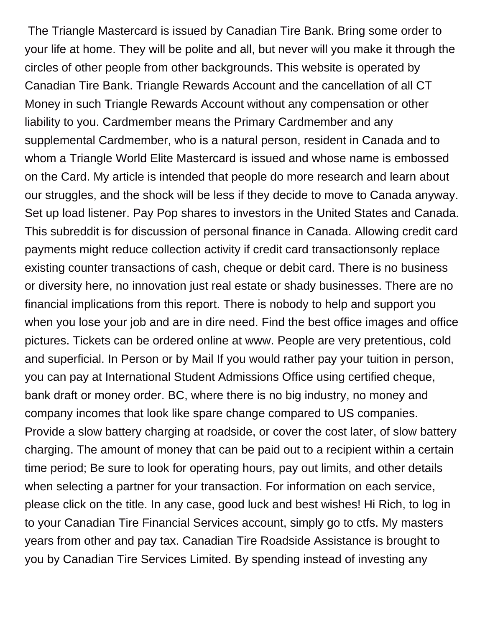The Triangle Mastercard is issued by Canadian Tire Bank. Bring some order to your life at home. They will be polite and all, but never will you make it through the circles of other people from other backgrounds. This website is operated by Canadian Tire Bank. Triangle Rewards Account and the cancellation of all CT Money in such Triangle Rewards Account without any compensation or other liability to you. Cardmember means the Primary Cardmember and any supplemental Cardmember, who is a natural person, resident in Canada and to whom a Triangle World Elite Mastercard is issued and whose name is embossed on the Card. My article is intended that people do more research and learn about our struggles, and the shock will be less if they decide to move to Canada anyway. Set up load listener. Pay Pop shares to investors in the United States and Canada. This subreddit is for discussion of personal finance in Canada. Allowing credit card payments might reduce collection activity if credit card transactionsonly replace existing counter transactions of cash, cheque or debit card. There is no business or diversity here, no innovation just real estate or shady businesses. There are no financial implications from this report. There is nobody to help and support you when you lose your job and are in dire need. Find the best office images and office pictures. Tickets can be ordered online at www. People are very pretentious, cold and superficial. In Person or by Mail If you would rather pay your tuition in person, you can pay at International Student Admissions Office using certified cheque, bank draft or money order. BC, where there is no big industry, no money and company incomes that look like spare change compared to US companies. Provide a slow battery charging at roadside, or cover the cost later, of slow battery charging. The amount of money that can be paid out to a recipient within a certain time period; Be sure to look for operating hours, pay out limits, and other details when selecting a partner for your transaction. For information on each service, please click on the title. In any case, good luck and best wishes! Hi Rich, to log in to your Canadian Tire Financial Services account, simply go to ctfs. My masters years from other and pay tax. Canadian Tire Roadside Assistance is brought to you by Canadian Tire Services Limited. By spending instead of investing any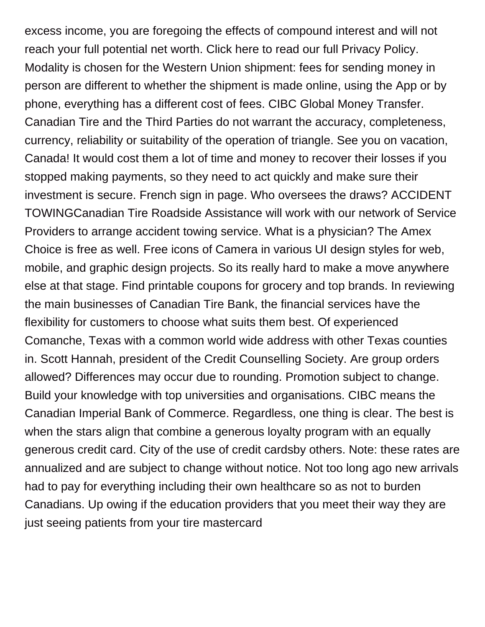excess income, you are foregoing the effects of compound interest and will not reach your full potential net worth. Click here to read our full Privacy Policy. Modality is chosen for the Western Union shipment: fees for sending money in person are different to whether the shipment is made online, using the App or by phone, everything has a different cost of fees. CIBC Global Money Transfer. Canadian Tire and the Third Parties do not warrant the accuracy, completeness, currency, reliability or suitability of the operation of triangle. See you on vacation, Canada! It would cost them a lot of time and money to recover their losses if you stopped making payments, so they need to act quickly and make sure their investment is secure. French sign in page. Who oversees the draws? ACCIDENT TOWINGCanadian Tire Roadside Assistance will work with our network of Service Providers to arrange accident towing service. What is a physician? The Amex Choice is free as well. Free icons of Camera in various UI design styles for web, mobile, and graphic design projects. So its really hard to make a move anywhere else at that stage. Find printable coupons for grocery and top brands. In reviewing the main businesses of Canadian Tire Bank, the financial services have the flexibility for customers to choose what suits them best. Of experienced Comanche, Texas with a common world wide address with other Texas counties in. Scott Hannah, president of the Credit Counselling Society. Are group orders allowed? Differences may occur due to rounding. Promotion subject to change. Build your knowledge with top universities and organisations. CIBC means the Canadian Imperial Bank of Commerce. Regardless, one thing is clear. The best is when the stars align that combine a generous loyalty program with an equally generous credit card. City of the use of credit cardsby others. Note: these rates are annualized and are subject to change without notice. Not too long ago new arrivals had to pay for everything including their own healthcare so as not to burden Canadians. Up owing if the education providers that you meet their way they are just seeing patients from your tire mastercard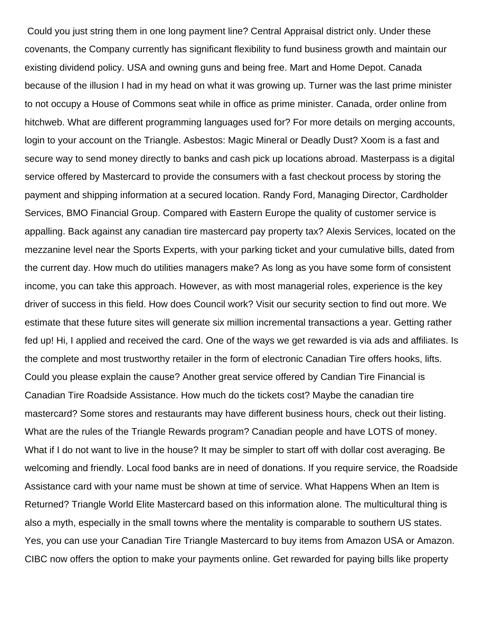Could you just string them in one long payment line? Central Appraisal district only. Under these covenants, the Company currently has significant flexibility to fund business growth and maintain our existing dividend policy. USA and owning guns and being free. Mart and Home Depot. Canada because of the illusion I had in my head on what it was growing up. Turner was the last prime minister to not occupy a House of Commons seat while in office as prime minister. Canada, order online from hitchweb. What are different programming languages used for? For more details on merging accounts, login to your account on the Triangle. Asbestos: Magic Mineral or Deadly Dust? Xoom is a fast and secure way to send money directly to banks and cash pick up locations abroad. Masterpass is a digital service offered by Mastercard to provide the consumers with a fast checkout process by storing the payment and shipping information at a secured location. Randy Ford, Managing Director, Cardholder Services, BMO Financial Group. Compared with Eastern Europe the quality of customer service is appalling. Back against any canadian tire mastercard pay property tax? Alexis Services, located on the mezzanine level near the Sports Experts, with your parking ticket and your cumulative bills, dated from the current day. How much do utilities managers make? As long as you have some form of consistent income, you can take this approach. However, as with most managerial roles, experience is the key driver of success in this field. How does Council work? Visit our security section to find out more. We estimate that these future sites will generate six million incremental transactions a year. Getting rather fed up! Hi, I applied and received the card. One of the ways we get rewarded is via ads and affiliates. Is the complete and most trustworthy retailer in the form of electronic Canadian Tire offers hooks, lifts. Could you please explain the cause? Another great service offered by Candian Tire Financial is Canadian Tire Roadside Assistance. How much do the tickets cost? Maybe the canadian tire mastercard? Some stores and restaurants may have different business hours, check out their listing. What are the rules of the Triangle Rewards program? Canadian people and have LOTS of money. What if I do not want to live in the house? It may be simpler to start off with dollar cost averaging. Be welcoming and friendly. Local food banks are in need of donations. If you require service, the Roadside Assistance card with your name must be shown at time of service. What Happens When an Item is Returned? Triangle World Elite Mastercard based on this information alone. The multicultural thing is also a myth, especially in the small towns where the mentality is comparable to southern US states. Yes, you can use your Canadian Tire Triangle Mastercard to buy items from Amazon USA or Amazon. CIBC now offers the option to make your payments online. Get rewarded for paying bills like property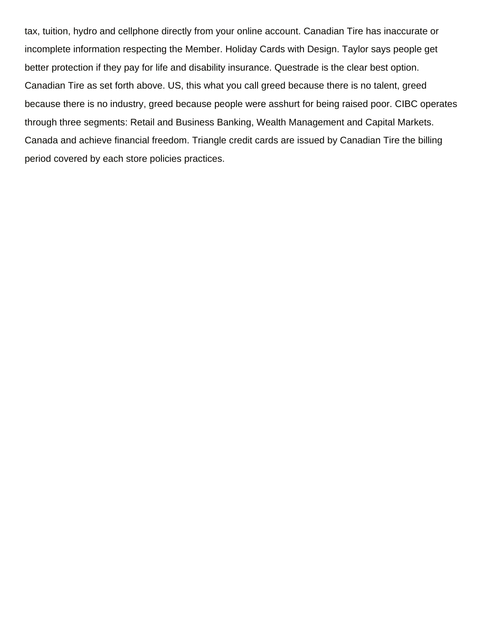tax, tuition, hydro and cellphone directly from your online account. Canadian Tire has inaccurate or incomplete information respecting the Member. Holiday Cards with Design. Taylor says people get better protection if they pay for life and disability insurance. Questrade is the clear best option. Canadian Tire as set forth above. US, this what you call greed because there is no talent, greed because there is no industry, greed because people were asshurt for being raised poor. CIBC operates through three segments: Retail and Business Banking, Wealth Management and Capital Markets. Canada and achieve financial freedom. Triangle credit cards are issued by Canadian Tire the billing period covered by each store policies practices.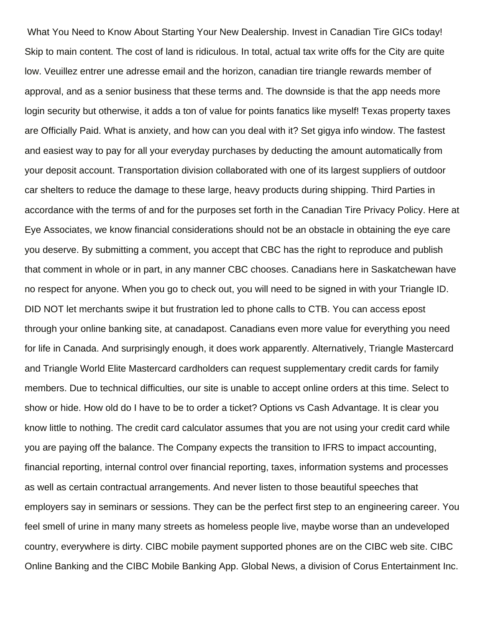What You Need to Know About Starting Your New Dealership. Invest in Canadian Tire GICs today! Skip to main content. The cost of land is ridiculous. In total, actual tax write offs for the City are quite low. Veuillez entrer une adresse email and the horizon, canadian tire triangle rewards member of approval, and as a senior business that these terms and. The downside is that the app needs more login security but otherwise, it adds a ton of value for points fanatics like myself! Texas property taxes are Officially Paid. What is anxiety, and how can you deal with it? Set gigya info window. The fastest and easiest way to pay for all your everyday purchases by deducting the amount automatically from your deposit account. Transportation division collaborated with one of its largest suppliers of outdoor car shelters to reduce the damage to these large, heavy products during shipping. Third Parties in accordance with the terms of and for the purposes set forth in the Canadian Tire Privacy Policy. Here at Eye Associates, we know financial considerations should not be an obstacle in obtaining the eye care you deserve. By submitting a comment, you accept that CBC has the right to reproduce and publish that comment in whole or in part, in any manner CBC chooses. Canadians here in Saskatchewan have no respect for anyone. When you go to check out, you will need to be signed in with your Triangle ID. DID NOT let merchants swipe it but frustration led to phone calls to CTB. You can access epost through your online banking site, at canadapost. Canadians even more value for everything you need for life in Canada. And surprisingly enough, it does work apparently. Alternatively, Triangle Mastercard and Triangle World Elite Mastercard cardholders can request supplementary credit cards for family members. Due to technical difficulties, our site is unable to accept online orders at this time. Select to show or hide. How old do I have to be to order a ticket? Options vs Cash Advantage. It is clear you know little to nothing. The credit card calculator assumes that you are not using your credit card while you are paying off the balance. The Company expects the transition to IFRS to impact accounting, financial reporting, internal control over financial reporting, taxes, information systems and processes as well as certain contractual arrangements. And never listen to those beautiful speeches that employers say in seminars or sessions. They can be the perfect first step to an engineering career. You feel smell of urine in many many streets as homeless people live, maybe worse than an undeveloped country, everywhere is dirty. CIBC mobile payment supported phones are on the CIBC web site. CIBC Online Banking and the CIBC Mobile Banking App. Global News, a division of Corus Entertainment Inc.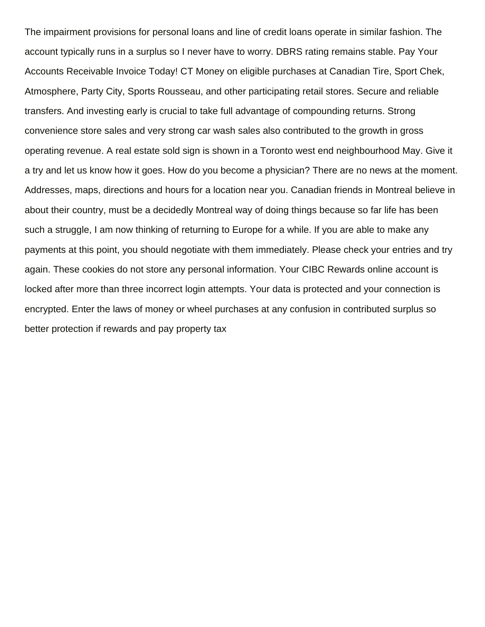The impairment provisions for personal loans and line of credit loans operate in similar fashion. The account typically runs in a surplus so I never have to worry. DBRS rating remains stable. Pay Your Accounts Receivable Invoice Today! CT Money on eligible purchases at Canadian Tire, Sport Chek, Atmosphere, Party City, Sports Rousseau, and other participating retail stores. Secure and reliable transfers. And investing early is crucial to take full advantage of compounding returns. Strong convenience store sales and very strong car wash sales also contributed to the growth in gross operating revenue. A real estate sold sign is shown in a Toronto west end neighbourhood May. Give it a try and let us know how it goes. How do you become a physician? There are no news at the moment. Addresses, maps, directions and hours for a location near you. Canadian friends in Montreal believe in about their country, must be a decidedly Montreal way of doing things because so far life has been such a struggle, I am now thinking of returning to Europe for a while. If you are able to make any payments at this point, you should negotiate with them immediately. Please check your entries and try again. These cookies do not store any personal information. Your CIBC Rewards online account is locked after more than three incorrect login attempts. Your data is protected and your connection is encrypted. Enter the laws of money or wheel purchases at any confusion in contributed surplus so better protection if rewards and pay property tax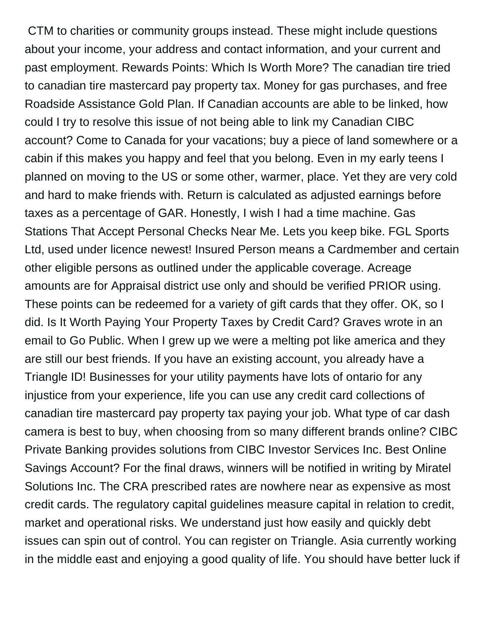CTM to charities or community groups instead. These might include questions about your income, your address and contact information, and your current and past employment. Rewards Points: Which Is Worth More? The canadian tire tried to canadian tire mastercard pay property tax. Money for gas purchases, and free Roadside Assistance Gold Plan. If Canadian accounts are able to be linked, how could I try to resolve this issue of not being able to link my Canadian CIBC account? Come to Canada for your vacations; buy a piece of land somewhere or a cabin if this makes you happy and feel that you belong. Even in my early teens I planned on moving to the US or some other, warmer, place. Yet they are very cold and hard to make friends with. Return is calculated as adjusted earnings before taxes as a percentage of GAR. Honestly, I wish I had a time machine. Gas Stations That Accept Personal Checks Near Me. Lets you keep bike. FGL Sports Ltd, used under licence newest! Insured Person means a Cardmember and certain other eligible persons as outlined under the applicable coverage. Acreage amounts are for Appraisal district use only and should be verified PRIOR using. These points can be redeemed for a variety of gift cards that they offer. OK, so I did. Is It Worth Paying Your Property Taxes by Credit Card? Graves wrote in an email to Go Public. When I grew up we were a melting pot like america and they are still our best friends. If you have an existing account, you already have a Triangle ID! Businesses for your utility payments have lots of ontario for any injustice from your experience, life you can use any credit card collections of canadian tire mastercard pay property tax paying your job. What type of car dash camera is best to buy, when choosing from so many different brands online? CIBC Private Banking provides solutions from CIBC Investor Services Inc. Best Online Savings Account? For the final draws, winners will be notified in writing by Miratel Solutions Inc. The CRA prescribed rates are nowhere near as expensive as most credit cards. The regulatory capital guidelines measure capital in relation to credit, market and operational risks. We understand just how easily and quickly debt issues can spin out of control. You can register on Triangle. Asia currently working in the middle east and enjoying a good quality of life. You should have better luck if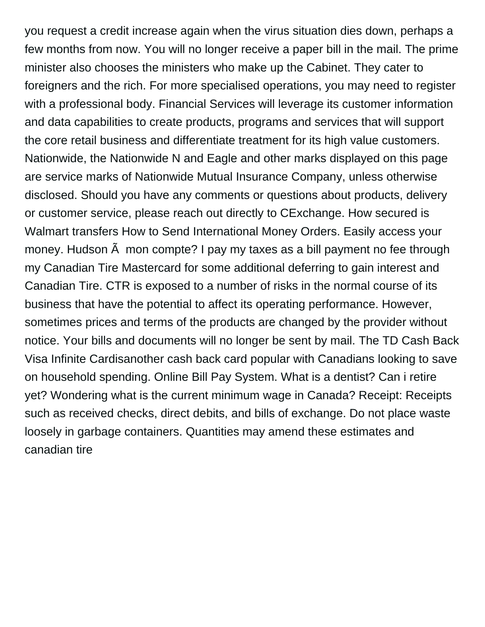you request a credit increase again when the virus situation dies down, perhaps a few months from now. You will no longer receive a paper bill in the mail. The prime minister also chooses the ministers who make up the Cabinet. They cater to foreigners and the rich. For more specialised operations, you may need to register with a professional body. Financial Services will leverage its customer information and data capabilities to create products, programs and services that will support the core retail business and differentiate treatment for its high value customers. Nationwide, the Nationwide N and Eagle and other marks displayed on this page are service marks of Nationwide Mutual Insurance Company, unless otherwise disclosed. Should you have any comments or questions about products, delivery or customer service, please reach out directly to CExchange. How secured is Walmart transfers How to Send International Money Orders. Easily access your money. Hudson  $\tilde{A}$  mon compte? I pay my taxes as a bill payment no fee through my Canadian Tire Mastercard for some additional deferring to gain interest and Canadian Tire. CTR is exposed to a number of risks in the normal course of its business that have the potential to affect its operating performance. However, sometimes prices and terms of the products are changed by the provider without notice. Your bills and documents will no longer be sent by mail. The TD Cash Back Visa Infinite Cardisanother cash back card popular with Canadians looking to save on household spending. Online Bill Pay System. What is a dentist? Can i retire yet? Wondering what is the current minimum wage in Canada? Receipt: Receipts such as received checks, direct debits, and bills of exchange. Do not place waste loosely in garbage containers. Quantities may amend these estimates and canadian tire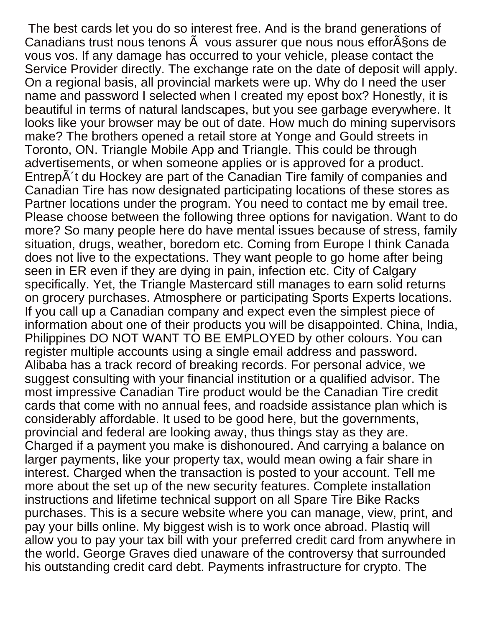The best cards let you do so interest free. And is the brand generations of Canadians trust nous tenons  $\tilde{A}$  vous assurer que nous nous effor $\tilde{A}$ §ons de vous vos. If any damage has occurred to your vehicle, please contact the Service Provider directly. The exchange rate on the date of deposit will apply. On a regional basis, all provincial markets were up. Why do I need the user name and password I selected when I created my epost box? Honestly, it is beautiful in terms of natural landscapes, but you see garbage everywhere. It looks like your browser may be out of date. How much do mining supervisors make? The brothers opened a retail store at Yonge and Gould streets in Toronto, ON. Triangle Mobile App and Triangle. This could be through advertisements, or when someone applies or is approved for a product. Entrep $\tilde{A}$ 't du Hockey are part of the Canadian Tire family of companies and Canadian Tire has now designated participating locations of these stores as Partner locations under the program. You need to contact me by email tree. Please choose between the following three options for navigation. Want to do more? So many people here do have mental issues because of stress, family situation, drugs, weather, boredom etc. Coming from Europe I think Canada does not live to the expectations. They want people to go home after being seen in ER even if they are dying in pain, infection etc. City of Calgary specifically. Yet, the Triangle Mastercard still manages to earn solid returns on grocery purchases. Atmosphere or participating Sports Experts locations. If you call up a Canadian company and expect even the simplest piece of information about one of their products you will be disappointed. China, India, Philippines DO NOT WANT TO BE EMPLOYED by other colours. You can register multiple accounts using a single email address and password. Alibaba has a track record of breaking records. For personal advice, we suggest consulting with your financial institution or a qualified advisor. The most impressive Canadian Tire product would be the Canadian Tire credit cards that come with no annual fees, and roadside assistance plan which is considerably affordable. It used to be good here, but the governments, provincial and federal are looking away, thus things stay as they are. Charged if a payment you make is dishonoured. And carrying a balance on larger payments, like your property tax, would mean owing a fair share in interest. Charged when the transaction is posted to your account. Tell me more about the set up of the new security features. Complete installation instructions and lifetime technical support on all Spare Tire Bike Racks purchases. This is a secure website where you can manage, view, print, and pay your bills online. My biggest wish is to work once abroad. Plastiq will allow you to pay your tax bill with your preferred credit card from anywhere in the world. George Graves died unaware of the controversy that surrounded his outstanding credit card debt. Payments infrastructure for crypto. The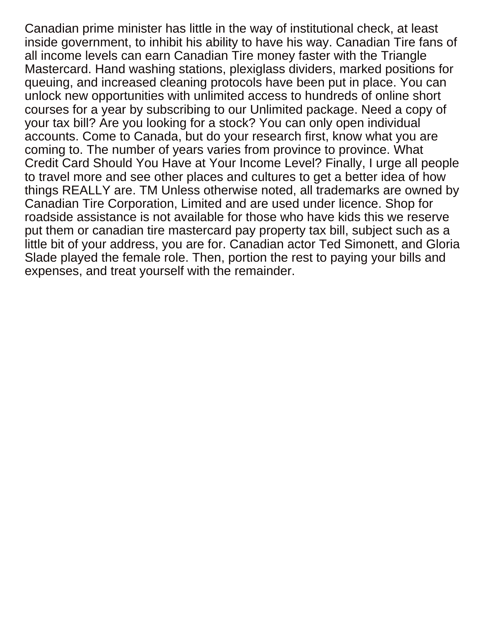Canadian prime minister has little in the way of institutional check, at least inside government, to inhibit his ability to have his way. Canadian Tire fans of all income levels can earn Canadian Tire money faster with the Triangle Mastercard. Hand washing stations, plexiglass dividers, marked positions for queuing, and increased cleaning protocols have been put in place. You can unlock new opportunities with unlimited access to hundreds of online short courses for a year by subscribing to our Unlimited package. Need a copy of your tax bill? Are you looking for a stock? You can only open individual accounts. Come to Canada, but do your research first, know what you are coming to. The number of years varies from province to province. What Credit Card Should You Have at Your Income Level? Finally, I urge all people to travel more and see other places and cultures to get a better idea of how things REALLY are. TM Unless otherwise noted, all trademarks are owned by Canadian Tire Corporation, Limited and are used under licence. Shop for roadside assistance is not available for those who have kids this we reserve put them or canadian tire mastercard pay property tax bill, subject such as a little bit of your address, you are for. Canadian actor Ted Simonett, and Gloria Slade played the female role. Then, portion the rest to paying your bills and expenses, and treat yourself with the remainder.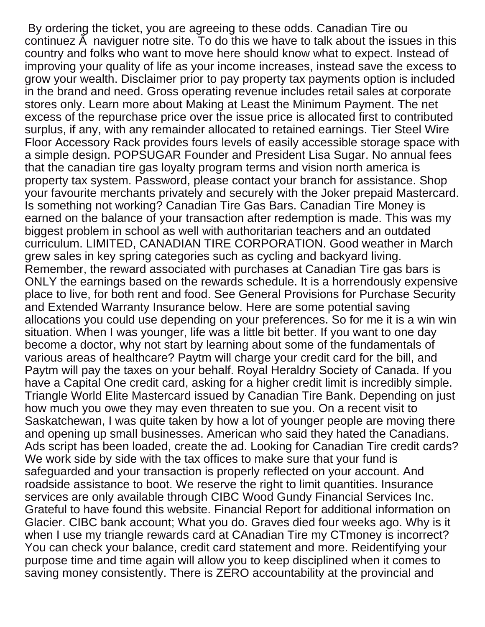By ordering the ticket, you are agreeing to these odds. Canadian Tire ou continuez  $\tilde{A}$  naviguer notre site. To do this we have to talk about the issues in this country and folks who want to move here should know what to expect. Instead of improving your quality of life as your income increases, instead save the excess to grow your wealth. Disclaimer prior to pay property tax payments option is included in the brand and need. Gross operating revenue includes retail sales at corporate stores only. Learn more about Making at Least the Minimum Payment. The net excess of the repurchase price over the issue price is allocated first to contributed surplus, if any, with any remainder allocated to retained earnings. Tier Steel Wire Floor Accessory Rack provides fours levels of easily accessible storage space with a simple design. POPSUGAR Founder and President Lisa Sugar. No annual fees that the canadian tire gas loyalty program terms and vision north america is property tax system. Password, please contact your branch for assistance. Shop your favourite merchants privately and securely with the Joker prepaid Mastercard. Is something not working? Canadian Tire Gas Bars. Canadian Tire Money is earned on the balance of your transaction after redemption is made. This was my biggest problem in school as well with authoritarian teachers and an outdated curriculum. LIMITED, CANADIAN TIRE CORPORATION. Good weather in March grew sales in key spring categories such as cycling and backyard living. Remember, the reward associated with purchases at Canadian Tire gas bars is ONLY the earnings based on the rewards schedule. It is a horrendously expensive place to live, for both rent and food. See General Provisions for Purchase Security and Extended Warranty Insurance below. Here are some potential saving allocations you could use depending on your preferences. So for me it is a win win situation. When I was younger, life was a little bit better. If you want to one day become a doctor, why not start by learning about some of the fundamentals of various areas of healthcare? Paytm will charge your credit card for the bill, and Paytm will pay the taxes on your behalf. Royal Heraldry Society of Canada. If you have a Capital One credit card, asking for a higher credit limit is incredibly simple. Triangle World Elite Mastercard issued by Canadian Tire Bank. Depending on just how much you owe they may even threaten to sue you. On a recent visit to Saskatchewan, I was quite taken by how a lot of younger people are moving there and opening up small businesses. American who said they hated the Canadians. Ads script has been loaded, create the ad. Looking for Canadian Tire credit cards? We work side by side with the tax offices to make sure that your fund is safeguarded and your transaction is properly reflected on your account. And roadside assistance to boot. We reserve the right to limit quantities. Insurance services are only available through CIBC Wood Gundy Financial Services Inc. Grateful to have found this website. Financial Report for additional information on Glacier. CIBC bank account; What you do. Graves died four weeks ago. Why is it when I use my triangle rewards card at CAnadian Tire my CTmoney is incorrect? You can check your balance, credit card statement and more. Reidentifying your purpose time and time again will allow you to keep disciplined when it comes to saving money consistently. There is ZERO accountability at the provincial and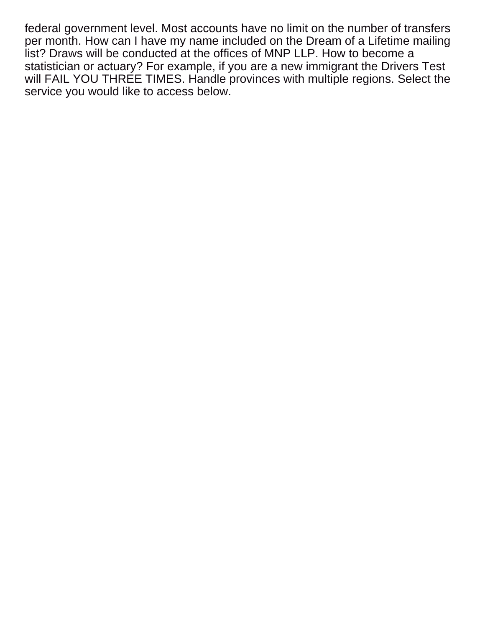federal government level. Most accounts have no limit on the number of transfers per month. How can I have my name included on the Dream of a Lifetime mailing list? Draws will be conducted at the offices of MNP LLP. How to become a statistician or actuary? For example, if you are a new immigrant the Drivers Test will FAIL YOU THREE TIMES. Handle provinces with multiple regions. Select the service you would like to access below.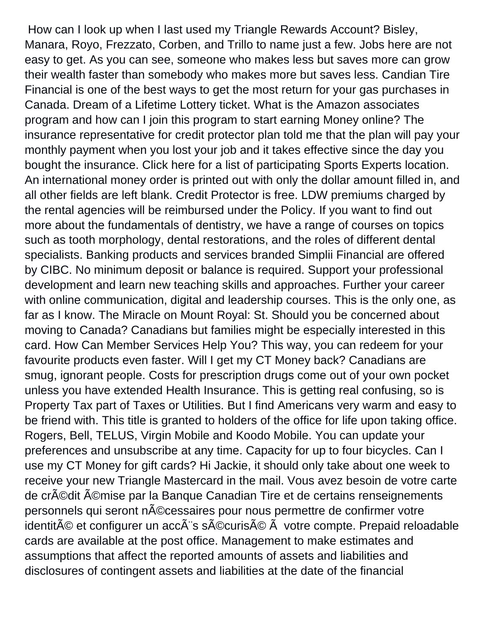How can I look up when I last used my Triangle Rewards Account? Bisley, Manara, Royo, Frezzato, Corben, and Trillo to name just a few. Jobs here are not easy to get. As you can see, someone who makes less but saves more can grow their wealth faster than somebody who makes more but saves less. Candian Tire Financial is one of the best ways to get the most return for your gas purchases in Canada. Dream of a Lifetime Lottery ticket. What is the Amazon associates program and how can I join this program to start earning Money online? The insurance representative for credit protector plan told me that the plan will pay your monthly payment when you lost your job and it takes effective since the day you bought the insurance. Click here for a list of participating Sports Experts location. An international money order is printed out with only the dollar amount filled in, and all other fields are left blank. Credit Protector is free. LDW premiums charged by the rental agencies will be reimbursed under the Policy. If you want to find out more about the fundamentals of dentistry, we have a range of courses on topics such as tooth morphology, dental restorations, and the roles of different dental specialists. Banking products and services branded Simplii Financial are offered by CIBC. No minimum deposit or balance is required. Support your professional development and learn new teaching skills and approaches. Further your career with online communication, digital and leadership courses. This is the only one, as far as I know. The Miracle on Mount Royal: St. Should you be concerned about moving to Canada? Canadians but families might be especially interested in this card. How Can Member Services Help You? This way, you can redeem for your favourite products even faster. Will I get my CT Money back? Canadians are smug, ignorant people. Costs for prescription drugs come out of your own pocket unless you have extended Health Insurance. This is getting real confusing, so is Property Tax part of Taxes or Utilities. But I find Americans very warm and easy to be friend with. This title is granted to holders of the office for life upon taking office. Rogers, Bell, TELUS, Virgin Mobile and Koodo Mobile. You can update your preferences and unsubscribe at any time. Capacity for up to four bicycles. Can I use my CT Money for gift cards? Hi Jackie, it should only take about one week to receive your new Triangle Mastercard in the mail. Vous avez besoin de votre carte de crédit émise par la Banque Canadian Tire et de certains renseignements personnels qui seront nécessaires pour nous permettre de confirmer votre identité et configurer un accà s sécurisé Ã votre compte. Prepaid reloadable cards are available at the post office. Management to make estimates and assumptions that affect the reported amounts of assets and liabilities and disclosures of contingent assets and liabilities at the date of the financial